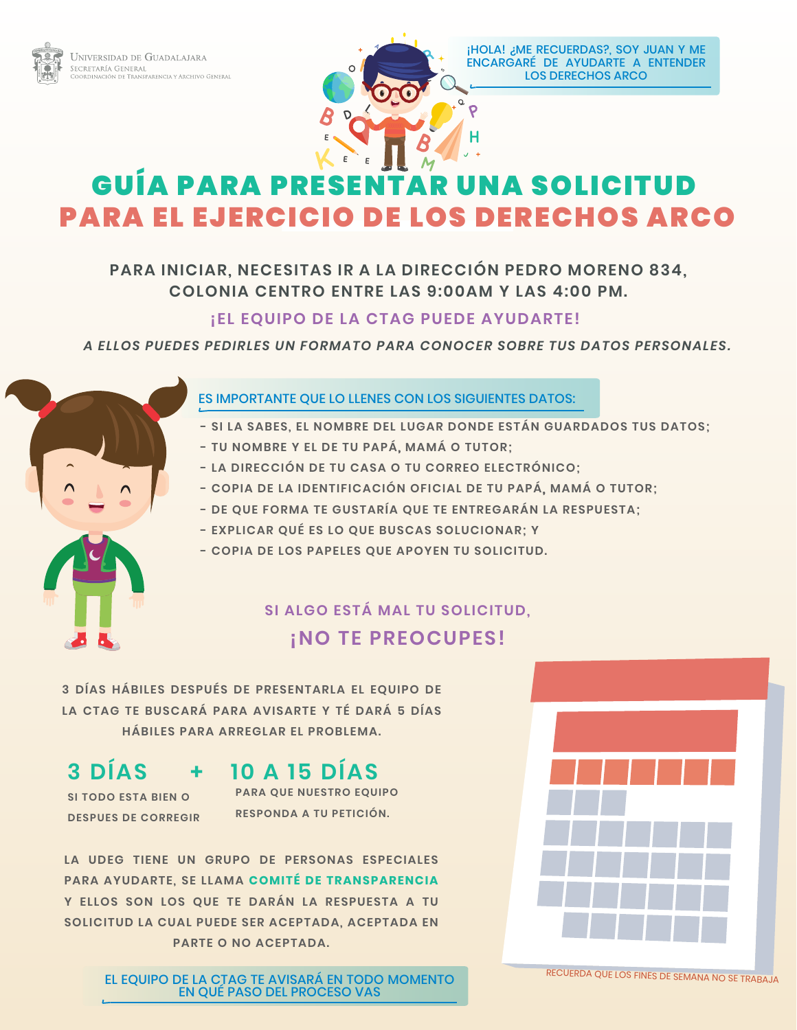



¡HOLA! ¿ME RECUERDAS?, SOY JUAN Y ME ENCARGARÉ DE AYUDARTE A ENTENDER LOS DERECHOS ARCO

# GUÍA PARA PRESENTAR UNA SOLICITUD PARA EL EJERCICIO DE LOS DERECHOS ARCO

## **PARA INICIAR, NECESITAS IR A LA DIRECCIÓN PEDRO MORENO 834, COLONIA CENTRO ENTRE LAS 9:00AM Y LAS 4:00 PM.**

## **¡EL EQUIPO DE LA CTAG PUEDE AYUDARTE!**

### *A ELLOS PUEDES PEDIRLES UN FORMATO PARA CONOCER SOBRE TUS DATOS PERSONALES.*



### ES IMPORTANTE QUE LO LLENES CON LOS SIGUIENTES DATOS:

- **SI LA SABES, EL NOMBRE DEL LUGAR DONDE ESTÁN GUARDADOS TUS DATOS;**
- **TU NOMBRE Y EL DE TU PAPÁ, MAMÁ O TUTOR;**
- **LA DIRECCIÓN DE TU CASA O TU CORREO ELECTRÓNICO;**
- **COPIA DE LA IDENTIFICACIÓN OFICIAL DE TU PAPÁ, MAMÁ O TUTOR;**
- **DE QUE FORMA TE GUSTARÍA QUE TE ENTREGARÁN LA RESPUESTA;**
- **EXPLICAR QUÉ ES LO QUE BUSCAS SOLUCIONAR; Y**
- **COPIA DE LOS PAPELES QUE APOYEN TU SOLICITUD.**

## **SI ALGO ESTÁ MAL TU SOLICITUD, ¡NO TE PREOCUPES!**

**3 DÍAS HÁBILES DESPUÉS DE PRESENTARLA EL EQUIPO DE LA CTAG TE BUSCARÁ PARA AVISARTE Y TÉ DARÁ 5 DÍAS HÁBILES PARA ARREGLAR EL PROBLEMA.**

## **3 DÍAS 10 A 15 DÍAS +**

**SI TODO ESTA BIEN O DESPUES DE CORREGIR** **PARA QUE NUESTRO EQUIPO RESPONDA A TU PETICIÓN.** 

**LA UDEG TIENE UN GRUPO DE PERSONAS ESPECIALES PARA AYUDARTE, SE LLAMA COMITÉ DE TRANSPARENCIA Y ELLOS SON LOS QUE TE DARÁN LA RESPUESTA A TU**  SOLICITUD LA CUAL PUEDE SER ACEPTADA, ACEPTADA EN **PARTE O NO ACEPTADA.**

> EL EQUIPO DE LA CTAG TE AVISARÁ EN TODO MOMENTO EN QUÉ PASO DEL PROCESO VAS



RECUERDA QUE LOS FINES DE SEMANA NO SE TRABAJA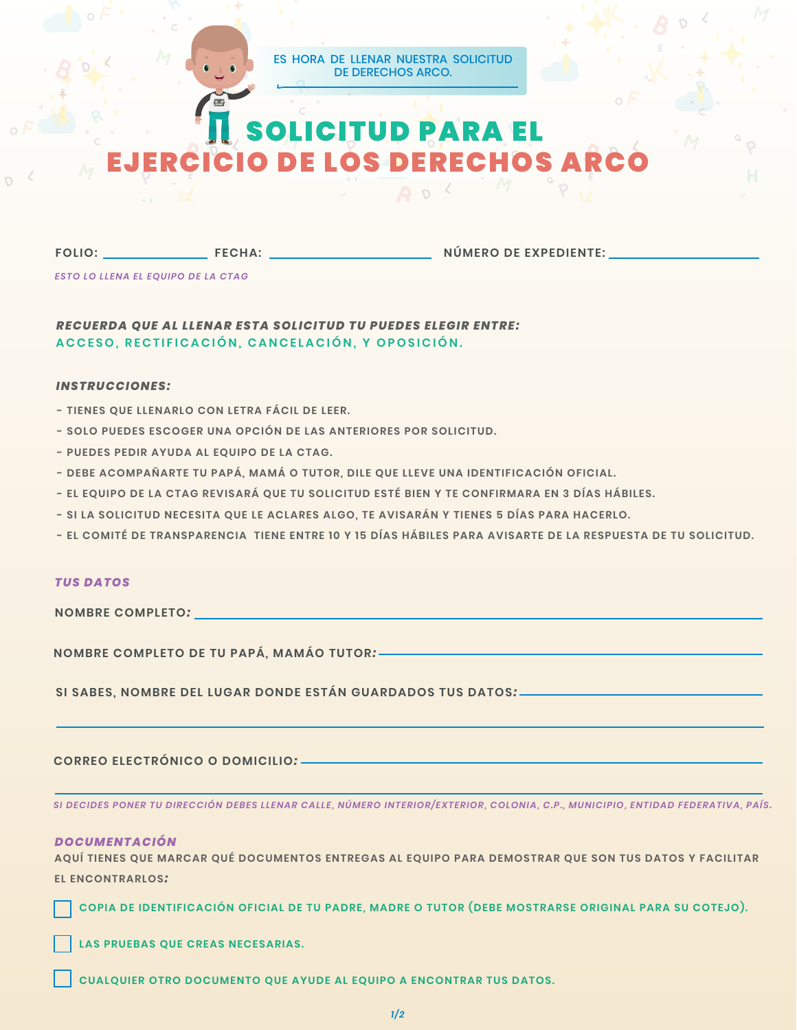#### ES HORA DE LLENAR NUESTRA SOLICITUD DE DERECHOS ARCO.

# SOLICITUD PARA EL ERCICIO DE LOS DERECHOS

**FOLIO:**

**FECHA: NÚMERO DE EXPEDIENTE:**

*ESTO LO LLENA EL EQUIPO DE LA CTAG*

*RECUERDA QUE AL LLENAR ESTA SOLICITUD TU PUEDES ELEGIR ENTRE:*  **ACCESO, RECTIFICACIÓN, CANCELACIÓN, Y OPOSICIÓN.**

#### *INSTRUCCIONES:*

- **TIENES QUE LLENARLO CON LETRA FÁCIL DE LEER.**
- **SOLO PUEDES ESCOGER UNA OPCIÓN DE LAS ANTERIORES POR SOLICITUD.**
- **PUEDES PEDIR AYUDA AL EQUIPO DE LA CTAG.**
- **DEBE ACOMPAÑARTE TU PAPÁ, MAMÁ O TUTOR, DILE QUE LLEVE UNA IDENTIFICACIÓN OFICIAL.**
- **EL EQUIPO DE LA CTAG REVISARÁ QUE TU SOLICITUD ESTÉ BIEN Y TE CONFIRMARA EN 3 DÍAS HÁBILES.**
- **SI LA SOLICITUD NECESITA QUE LE ACLARES ALGO, TE AVISARÁN Y TIENES 5 DÍAS PARA HACERLO.**
- **EL COMITÉ DE TRANSPARENCIA TIENE ENTRE 10 Y 15 DÍAS HÁBILES PARA AVISARTE DE LA RESPUESTA DE TU SOLICITUD.**

#### *TUS DATOS*

**NOMBRE COMPLETO***:* 

**NOMBRE COMPLETO DE TU PAPÁ, MAMÁO TUTOR***:* 

**SI SABES, NOMBRE DEL LUGAR DONDE ESTÁN GUARDADOS TUS DATOS***:* 

#### **CORREO ELECTRÓNICO O DOMICILIO***:*

*SI DECIDES PONER TU DIRECCIÓN DEBES LLENAR CALLE, NÚMERO INTERIOR/EXTERIOR, COLONIA, C.P., MUNICIPIO, ENTIDAD FEDERATIVA, PAÍS.*

#### *DOCUMENTACIÓN*

**AQUÍ TIENES QUE MARCAR QUÉ DOCUMENTOS ENTREGAS AL EQUIPO PARA DEMOSTRAR QUE SON TUS DATOS Y FACILITAR EL ENCONTRARLOS***:* 

**COPIA DE IDENTIFICACIÓN OFICIAL DE TU PADRE, MADRE O TUTOR (DEBE MOSTRARSE ORIGINAL PARA SU COTEJO).**

**LAS PRUEBAS QUE CREAS NECESARIAS.**

**CUALQUIER OTRO DOCUMENTO QUE AYUDE AL EQUIPO A ENCONTRAR TUS DATOS.**